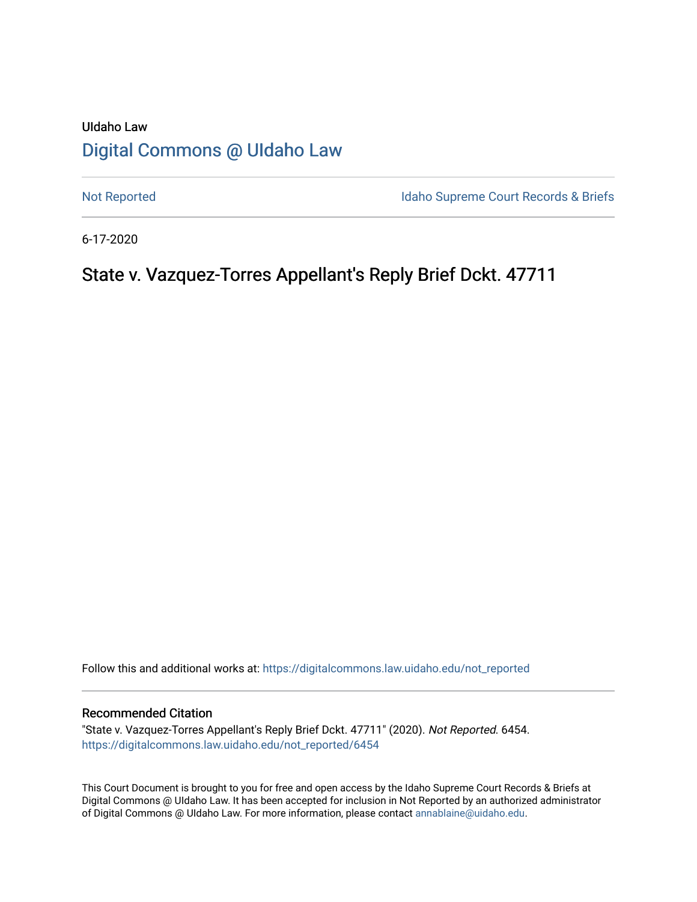# UIdaho Law [Digital Commons @ UIdaho Law](https://digitalcommons.law.uidaho.edu/)

[Not Reported](https://digitalcommons.law.uidaho.edu/not_reported) **Idaho Supreme Court Records & Briefs** 

6-17-2020

# State v. Vazquez-Torres Appellant's Reply Brief Dckt. 47711

Follow this and additional works at: [https://digitalcommons.law.uidaho.edu/not\\_reported](https://digitalcommons.law.uidaho.edu/not_reported?utm_source=digitalcommons.law.uidaho.edu%2Fnot_reported%2F6454&utm_medium=PDF&utm_campaign=PDFCoverPages) 

### Recommended Citation

"State v. Vazquez-Torres Appellant's Reply Brief Dckt. 47711" (2020). Not Reported. 6454. [https://digitalcommons.law.uidaho.edu/not\\_reported/6454](https://digitalcommons.law.uidaho.edu/not_reported/6454?utm_source=digitalcommons.law.uidaho.edu%2Fnot_reported%2F6454&utm_medium=PDF&utm_campaign=PDFCoverPages)

This Court Document is brought to you for free and open access by the Idaho Supreme Court Records & Briefs at Digital Commons @ UIdaho Law. It has been accepted for inclusion in Not Reported by an authorized administrator of Digital Commons @ UIdaho Law. For more information, please contact [annablaine@uidaho.edu](mailto:annablaine@uidaho.edu).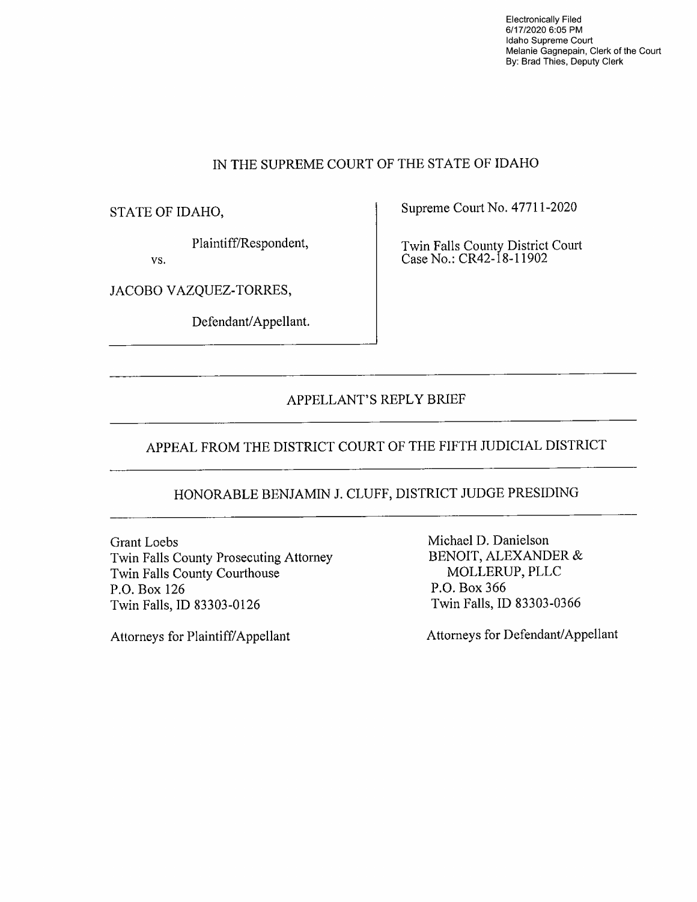Electronically Filed 6/17/2020 6:05 PM Idaho Supreme Court Melanie Gagnepain, Clerk of the Court By: Brad Thies, Deputy Clerk

### IN THE SUPREME COURT OF THE STATE OF IDAHO

STATE OF IDAHO,

Plaintiff/Respondent,

vs.

JACOBO VAZQUEZ-TORRES,

Defendant/Appellant.

Supreme Court No. 47711-2020

Twin Falls County District Court Case No.: CR42-18-l 1902

### APPELLANT'S REPLY BRIEF

## APPEAL FROM THE DISTRICT COURT OF THE FIFTH JUDICIAL DISTRICT

# HONORABLE BENJAMIN J. CLUFF, DISTRICT JUDGE PRESIDING

Grant Loebs Twin Falls County Prosecuting Attorney Twin Falls County Courthouse P.O. Box 126 Twin Falls, ID 83303-0126

Attorneys for Plaintiff/ Appellant

Michael D. Danielson BENOIT, ALEXANDER & MOLLERUP, PLLC P.O. Box 366 Twin Falls, ID 83303-0366

Attorneys for Defendant/Appellant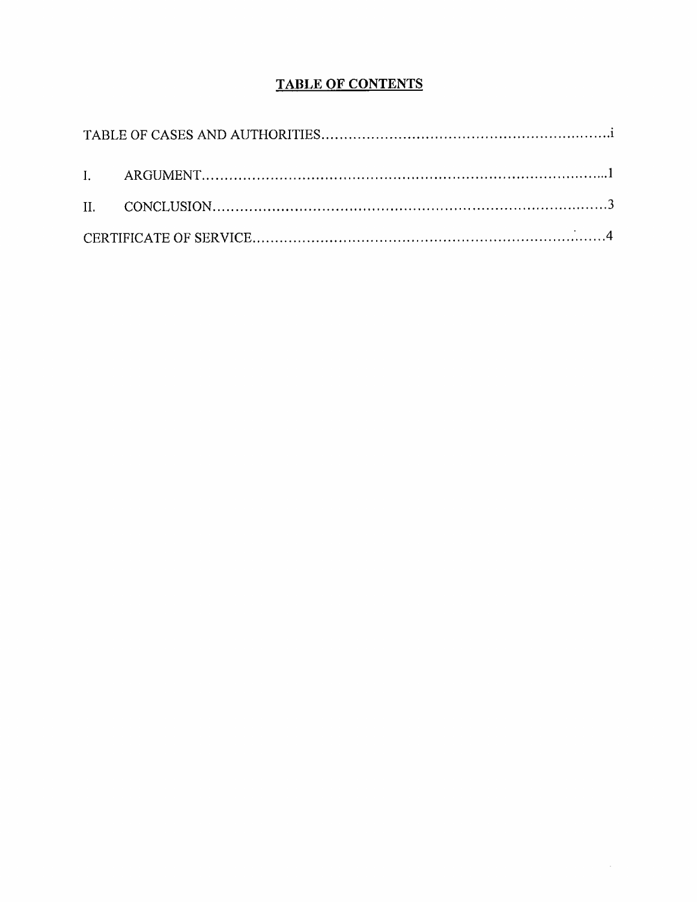# **TABLE OF CONTENTS**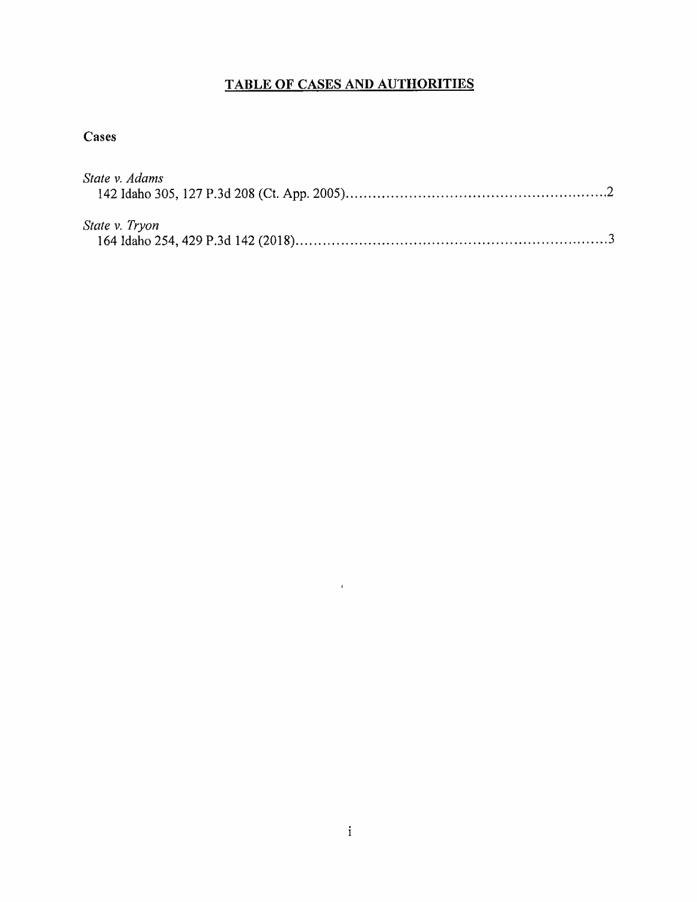# **TABLE OF CASES AND AUTHORITIES**

## **Cases**

| State v. Adams |  |
|----------------|--|
|                |  |
| State v. Tryon |  |
|                |  |

 $\mathcal{L}^{\text{max}}_{\text{max}}$  and  $\mathcal{L}^{\text{max}}_{\text{max}}$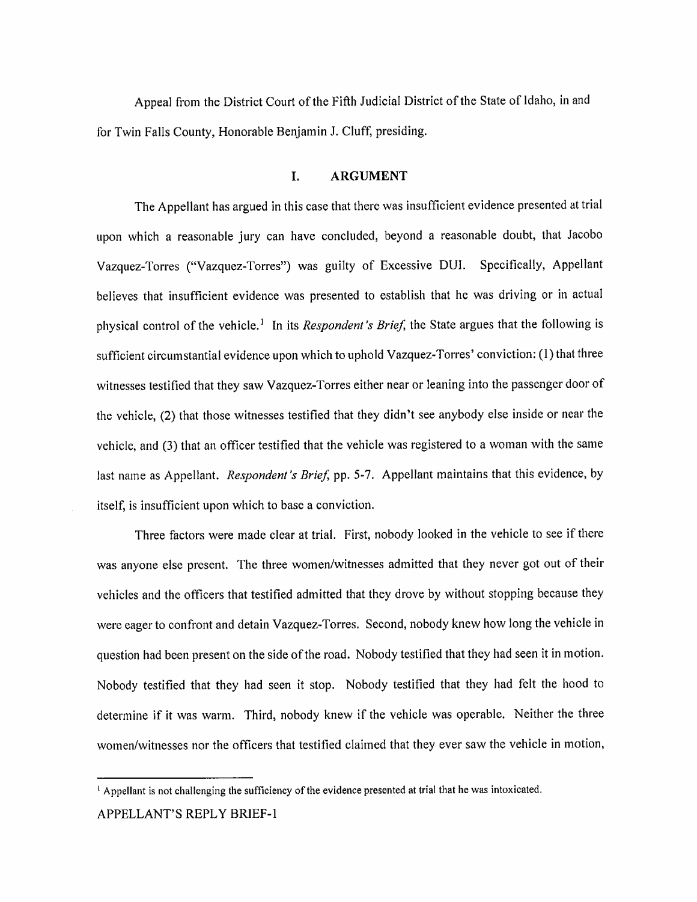Appeal from the District Court of the Fifth Judicial District of the State of Idaho, in and for Twin Falls County, Honorable Benjamin J. Cluff, presiding.

### I. **ARGUMENT**

The Appellant has argued in this case that there was insufficient evidence presented at trial upon which a reasonable jury can have concluded, beyond a reasonable doubt, that Jacobo Vazquez-Torres ("Vazquez-Torres") was guilty of Excessive DUI. Specifically, Appellant believes that insufficient evidence was presented to establish that he was driving or in actual physical control of the vehicle.<sup>1</sup> In its *Respondent's Brief*, the State argues that the following is sufficient circumstantial evidence upon which to uphold Vazquez-Torres' conviction: ( 1) that three witnesses testified that they saw Vazquez-Torres either near or leaning into the passenger door of the vehicle, (2) that those witnesses testified that they didn't see anybody else inside or near the vehicle, and (3) that an officer testified that the vehicle was registered to a woman with the same last name as Appellant. *Respondent's Brief,* pp. 5-7. Appellant maintains that this evidence, by itself, is insufficient upon which to base a conviction.

Three factors were made clear at trial. First, nobody looked in the vehicle to see if there was anyone else present. The three women/witnesses admitted that they never got out of their vehicles and the officers that testified admitted that they drove by without stopping because they were eager to confront and detain Vazquez-Torres. Second, nobody knew how long the vehicle in question had been present on the side of the road. Nobody testified that they had seen it in motion. Nobody testified that they had seen it stop. Nobody testified that they had felt the hood to determine if it was warm. Third, nobody knew if the vehicle was operable. Neither the three women/witnesses nor the officers that testified claimed that they ever saw the vehicle in motion,

<sup>&</sup>lt;sup>1</sup> Appellant is not challenging the sufficiency of the evidence presented at trial that he was intoxicated. APPELLANT'S REPLY BRIEF-I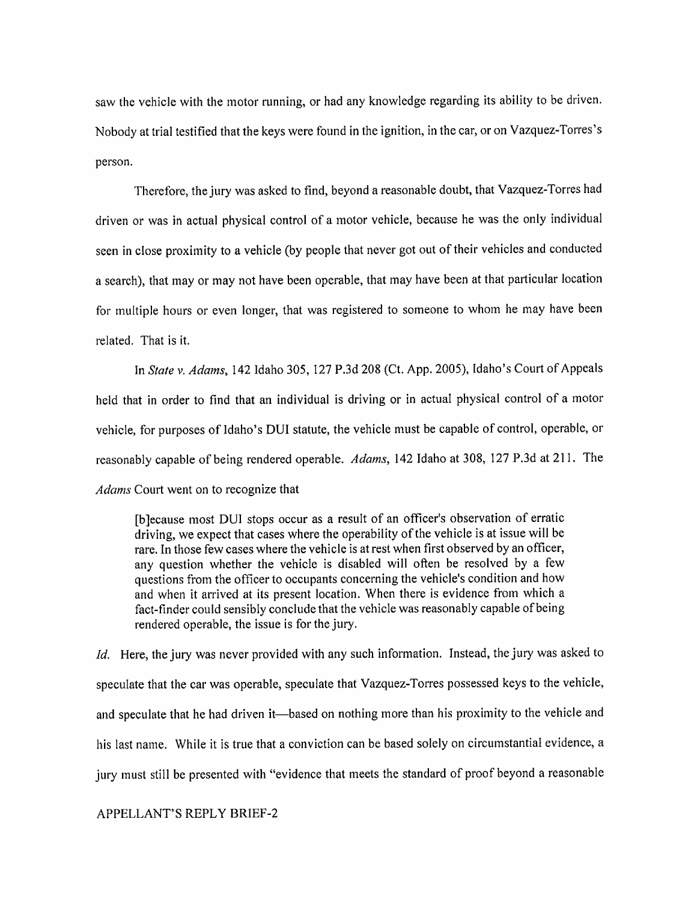saw the vehicle with the motor running, or had any knowledge regarding its ability to be driven. Nobody at trial testified that the keys were found in the ignition, in the car, or on Vazquez-Torres's person.

Therefore, the jury was asked to find, beyond a reasonable doubt, that Vazquez-Torres had driven or was in actual physical control of a motor vehicle, because he was the only individual seen in close proximity to a vehicle (by people that never got out of their vehicles and conducted a search), that may or may not have been operable, that may have been at that particular location for multiple hours or even longer, that was registered to someone to whom he may have been related. That is it.

In *State* v. *Adams,* 142 Idaho 305, 127 P.3d 208 (Ct. App. 2005), Idaho's Court of Appeals held that in order to find that an individual is driving or in actual physical control of a motor vehicle, for purposes of Idaho's DUI statute, the vehicle must be capable of control, operable, or reasonably capable of being rendered operable. *Adams,* 142 Idaho at 308, 127 P.3d at 211. The *Adams* Court went on to recognize that

[b ]ecause most DUI stops occur as a result of an officer's observation of erratic driving, we expect that cases where the operability of the vehicle is at issue will be rare. In those few cases where the vehicle is at rest when first observed by an officer, any question whether the vehicle is disabled will often be resolved by a few questions from the officer to occupants concerning the vehicle's condition and how and when it arrived at its present location. When there is evidence from which a fact-finder could sensibly conclude that the vehicle was reasonably capable of being rendered operable, the issue is for the jury.

*Id.* Here, the jury was never provided with any such information. Instead, the jury was asked to speculate that the car was operable, speculate that Vazquez-Torres possessed keys to the vehicle, and speculate that he had driven it—based on nothing more than his proximity to the vehicle and his last name. While it is true that a conviction can be based solely on circumstantial evidence, a jury must still be presented with "evidence that meets the standard of proof beyond a reasonable

### APPELLANT'S REPLY BRIEF-2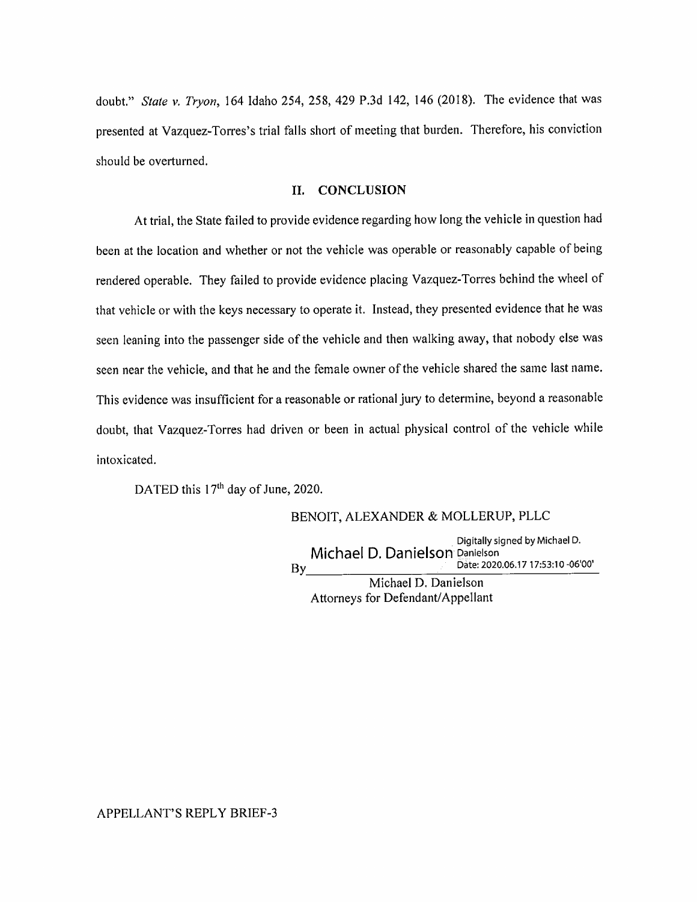doubt." *State v. Tryon,* 164 Idaho 254, 258, 429 P.3d 142, 146 (2018). The evidence that was presented at Vazquez-Torres's trial falls short of meeting that burden. Therefore, his conviction should be overturned.

### II. **CONCLUSION**

At trial, the State failed to provide evidence regarding how long the vehicle in question had been at the location and whether or not the vehicle was operable or reasonably capable of being rendered operable. They failed to provide evidence placing Vazquez-Torres behind the wheel of that vehicle or with the keys necessary to operate it. Instead, they presented evidence that he was seen leaning into the passenger side of the vehicle and then walking away, that nobody else was seen near the vehicle, and that he and the female owner of the vehicle shared the same last name. This evidence was insufficient for a reasonable or rational jury to determine, beyond a reasonable doubt, that Vazquez-Torres had driven or been in actual physical control of the vehicle while intoxicated.

DATED this 17<sup>th</sup> day of June, 2020.

#### BENOIT, ALEXANDER & MOLLERUP, PLLC

, Digitally signed by Michael D. Michael D. Danielson Danielson By **bate: 2020.06.17 17:53:10 -06'00'** 

Michael D. Danielson Attorneys for Defendant/ Appellant

#### APPELLANT'S REPLY BRIEF-3